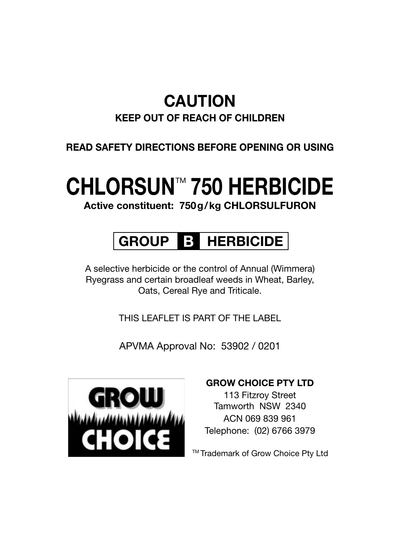#### **CAUTION**

#### **KEEP OUT OF REACH OF CHILDREN**

#### **READ SAFETY DIRECTIONS BEFORE OPENING OR USING**

### **CHLORSUN™ 750 HERBICIDE**

**Active constituent: 750g/kg CHLORSULFURON** 

#### **GROUP B HERBICIDE**

A selective herbicide or the control of Annual (Wimmera) Ryegrass and certain broadleaf weeds in Wheat, Barley, Oats, Cereal Rye and Triticale.

THIS LEAFLET IS PART OF THE LABEL

APVMA Approval No: 53902 / 0201



#### **GROW CHOICE PTY LTD**

113 Fitzroy Street Tamworth NSW 2340 ACN 069 839 961 Telephone: (02) 6766 3979

TM Trademark of Grow Choice Pty Ltd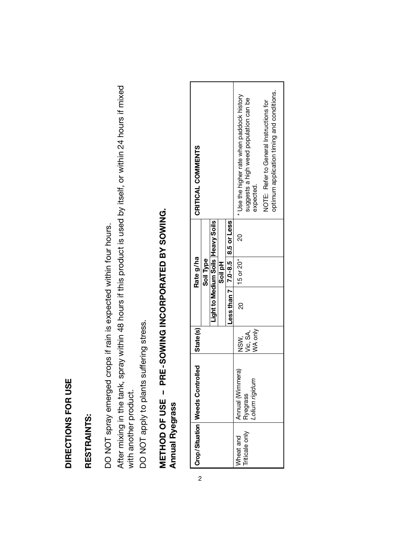## DIRECTIONS FOR USE **DIRECTIONS FOR USE**

### RESTRAINTS: **RESTRAINTS:**

DO NOT spray emerged crops if rain is expected within four hours. DO NOT spray emerged crops if rain is expected within four hours.

After mixing in the tank, spray within 48 hours if this product is used by itself, or within 24 hours if mixed After mixing in the tank, spray within 48 hours if this product is used by itself, or within 24 hours if mixed with another product. with another product.

DO NOT apply to plants suffering stress. DO NOT apply to plants suffering stress.

## METHOD OF USE - PRE-SOWING INCORPORATED BY SOWING. **METHOD OF USE – PRE-SOWING INCORPORATED BY SOWING. Annual Ryegrass Annual Ryegrass**

2

|                | Crop/Situation   Weeds Controlled | State(s) |                                     | Rate g/ha     |                                      | CRITICAL COMMENTS                                   |
|----------------|-----------------------------------|----------|-------------------------------------|---------------|--------------------------------------|-----------------------------------------------------|
|                |                                   |          |                                     | Soil Type     |                                      |                                                     |
|                |                                   |          |                                     |               | Light to Medium Soils<br>Heavy Soils |                                                     |
|                |                                   |          |                                     | Soil pH       |                                      |                                                     |
|                |                                   |          | Less than 7   7.0 8.5   8.5 or Less |               |                                      |                                                     |
| Wheat and      | Annual (Wimmera)                  | NSW.     | <u>ន</u>                            | $15$ or $20*$ | $\approx$                            | * Use the higher rate when paddock history          |
| Triticale only | Lolium rigidum<br>Ryegrass        | Vic, SA, |                                     |               |                                      | suggests a high weed population can be<br>expected. |
|                |                                   | WA only  |                                     |               |                                      |                                                     |
|                |                                   |          |                                     |               |                                      | NOTE: Refer to General Instructions for             |
|                |                                   |          |                                     |               |                                      | optimum application timing and conditions.          |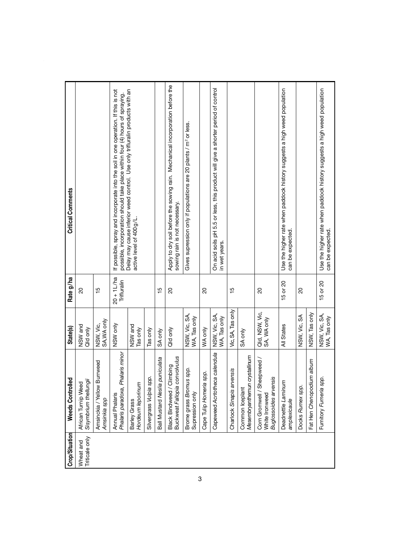| Crop/Situation              | <b>Weeds Controlled</b>                                                | <b>State(s)</b>               | Rate g/ha                    | <b>Critical Comments</b>                                                                                                                                          |
|-----------------------------|------------------------------------------------------------------------|-------------------------------|------------------------------|-------------------------------------------------------------------------------------------------------------------------------------------------------------------|
| Triticale only<br>Wheat and | Sisymbrium thellungii<br>African Turnip Weed                           | NSW and<br>Qild only          | 20                           |                                                                                                                                                                   |
|                             | Amsinckia / Yellow Burrweed<br>Amsinkia spp                            | SA, WA only<br>NSW, Vic,      | $\frac{5}{1}$                |                                                                                                                                                                   |
|                             | Phalaris paradoxa, Phalaris minor<br>Annual Phalaris                   | VSW only                      | $20 + 1$ L/ha<br>Trifluralin | If possible, spray and incorporate into the soil in one operation. If this is not<br>possible, incorporation should take place within four (4) hours of spraying. |
|                             | Hordeum leporinum<br>Barley Grass                                      | NSW and<br>Tas only           |                              | Delay may cause inferior weed control. Use only trifluralin products with an<br>active level of 400 g/L.                                                          |
|                             | Silvergrass Vulpia spp.                                                | Tas only                      |                              |                                                                                                                                                                   |
|                             | Ball Mustard Nes/ia puniculata                                         | SA only                       | $\frac{5}{1}$                |                                                                                                                                                                   |
|                             | Buckweat Fallopia convolvulus<br>Black Bindweed / Climbing             | Qld only                      | 20                           | Apply to dry soil before the sowing rain. Mechanical incorporation before the<br>sowing rain is not necessary.                                                    |
|                             | Brome grass Bromus spp.<br>Supression only                             | NSW, Vic, SA,<br>WA, Tas only |                              | Gives supression only if populations are 20 plants / m <sup>2</sup> or less.                                                                                      |
|                             | Cape Tulip Homeria spp.                                                | WA only                       | 20                           |                                                                                                                                                                   |
|                             | Capeweed Acrtotheca calendula                                          | NSW, Vic, SA,<br>WA, Tas only |                              | On acid soils pH 5.5 or less, this product will give a shorter period of control<br>in wet years.                                                                 |
|                             | Charlock Sinapis arvensis                                              | Vic, SA, Tas only             | $\frac{10}{10}$              |                                                                                                                                                                   |
|                             | Mesembryanthemun crystallinum<br>Common Iceplant                       | SA only                       |                              |                                                                                                                                                                   |
|                             | Corn Gromwell / Sheepweed /<br>Buglossoides arvensis<br>White Ironweed | ald, NSW, Vic,<br>SA, WA only | $\overline{20}$              |                                                                                                                                                                   |
|                             | Deadnettle Laminum<br>amplexicaule                                     | All States                    | 15 or 20                     | Use the higher rate when paddock history suggests a high weed population<br>can be expected.                                                                      |
|                             | Docks Rumex spp.                                                       | VSW, Vic, SA                  | 20                           |                                                                                                                                                                   |
|                             | Fat Hen Chenopodium album                                              | NSW, Tas only                 |                              |                                                                                                                                                                   |
|                             | Fumitory Furneria spp.                                                 | NSW, Vic, SA,<br>WA, Tas only | 15 or 20                     | Use the higher rate when paddock history suggests a high weed population<br>can be expected.                                                                      |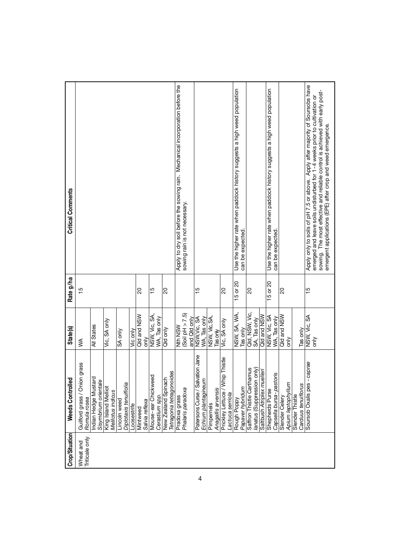| Crop/Situation              | <b>Weeds Controlled</b>                                | State(s)                        | Rate g/ha      | <b>Critical Comments</b>                                                                                                                                  |
|-----------------------------|--------------------------------------------------------|---------------------------------|----------------|-----------------------------------------------------------------------------------------------------------------------------------------------------------|
| Triticale only<br>Wheat and | Guilford grass / Onion grass<br>Romula rosea           | ≸                               | $\frac{10}{2}$ |                                                                                                                                                           |
|                             | ndian Hedge Mustard<br>Sisymbrium orientale            | All States                      |                |                                                                                                                                                           |
|                             | King Island Melliot<br>Melilotus indicus               | Vic, SA only                    |                |                                                                                                                                                           |
|                             | Diplotaxis tenuiflolia<br>Lincoln weed                 | SA only                         |                |                                                                                                                                                           |
|                             | Loosestrife                                            | Vic only                        |                |                                                                                                                                                           |
|                             | Salvia reflexa<br>Mintweed                             | Qld and NSW<br>only             | 8              |                                                                                                                                                           |
|                             | Mouse-ear Chickweed                                    | NSW, Vic, SA                    | 10             |                                                                                                                                                           |
|                             | Cerastium spp.                                         | WA, Tas only                    |                |                                                                                                                                                           |
|                             | Tetragonia tetragonoides<br><b>New Zealand Spinach</b> | Qld only                        | ୡ              |                                                                                                                                                           |
|                             | Pradoxa grass                                          | <b>Nth NSW</b>                  |                | Apply to dry soil before the sowing rain. Mechanical incorporation before the                                                                             |
|                             | Phalaris paradoxa                                      | (Soil pH > 7.5)<br>and Qld only |                | sowing rain is not necessary.                                                                                                                             |
|                             | Patersons Curse / Salvation Jane                       | NSW, Vic, SA                    | ١p             |                                                                                                                                                           |
|                             | Echium plantagineum                                    | WA, Tas only                    |                |                                                                                                                                                           |
|                             | Pimpernels                                             | NSW, Vic, SA,                   |                |                                                                                                                                                           |
|                             | Anagallis arvensis                                     | Tasonly                         |                |                                                                                                                                                           |
|                             | Prickley Lettuce / Whip Thistle                        | Vic, SA only                    | ន              |                                                                                                                                                           |
|                             | actuca serriola                                        |                                 |                |                                                                                                                                                           |
|                             | Papaver hybridum<br>Rough Poppy                        | NSW, SA, WA,<br>Tas only        | 15 or 20       | Use the higher rate when paddock history suggests a high weed population<br>can be expected.                                                              |
|                             | Saffron Thistle Carthamus                              |                                 |                |                                                                                                                                                           |
|                             | lanatus (Suppression only)                             | ald, NSW, Vic,<br>SA, Tas only  | ୡ              |                                                                                                                                                           |
|                             | Saltbush Atriplex muelleri                             | Qld and NSW                     |                |                                                                                                                                                           |
|                             | Shepherds Purse                                        | VSW, Vic, SA                    | 5 or 20        | Use the higher rate when paddock history suggests a high weed population                                                                                  |
|                             | Capsella bursa-pastoris                                | WA, Tas only                    |                | can be expected.                                                                                                                                          |
|                             | Slender Celery                                         | Qld and NSW                     | ାର             |                                                                                                                                                           |
|                             | Apium leptophyllum                                     | only                            |                |                                                                                                                                                           |
|                             | Carduus tenuiflorus<br>Slender Thistle                 | Tas only                        |                |                                                                                                                                                           |
|                             | Soursob Oxalis pes - caprae                            | NSW, Vic, SA                    | ١ŗ٥            | Apply only to soils of pH 7.5 or above. Apply after majority of Soursobs have                                                                             |
|                             |                                                        | $\sin$                          |                | sowing. The most effective and reliable control is achieved with early post-<br>emerged and leave soils undisturbed for 1-4 weeks prior to cultivation or |
|                             |                                                        |                                 |                | amergent applications (EPE) after crop and weed emergence.                                                                                                |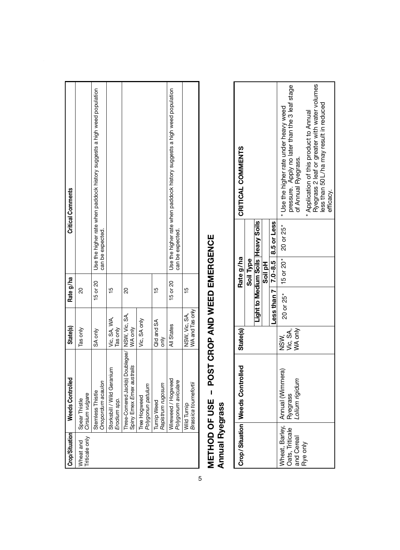| Crop/Situation              | <b>Weeds Controlled</b>                                                     | <b>State(s)</b>                  | Rate g/ha       | <b>Critical Comments</b>                                                                     |
|-----------------------------|-----------------------------------------------------------------------------|----------------------------------|-----------------|----------------------------------------------------------------------------------------------|
| Triticale only<br>Wheat and | Cirsium vulgare<br>Spear Thistle                                            | Tas only                         | 20              |                                                                                              |
|                             | Onopordum acaulon<br>Stemless Thistle                                       | SA only                          | 15 or 20        | Use the higher rate when paddock history suggests a high weed population<br>can be expected. |
|                             | Storksbill / Wild Geranium<br>Erodium spp.                                  | Vic, SA, WA,<br>Tas only         | $\frac{10}{10}$ |                                                                                              |
|                             | Three-Comered Jack(s) Doublegee/ NSW, Vic. SA,<br>Spiny Emex Emex australis | WA only                          | 20              |                                                                                              |
|                             | Polygonun patulum<br>Tree Hogweed                                           | Vic, SA only                     |                 |                                                                                              |
|                             | Rapistrum rugosum<br><b>Turnip Weed</b>                                     | Qld and SA<br>only               | $\frac{10}{10}$ |                                                                                              |
|                             | Wireweed / Hogweed<br>Polygonum aviculare                                   | All States                       | 15 or 20        | Use the higher rate when paddock history suggests a high weed population<br>can be expected. |
|                             | Brassica tourneforti<br>Wild Turnip                                         | WA and Tas only<br>NSW, Vic, SA, | ۱5              |                                                                                              |

# **METHOD OF USE - POST CROP AND WEED EMERGENCE<br>Annual Ryegrass METHOD OF USE – POST CROP AND WEED EMERGENCE Annual Ryegrass**

| CRITICAL COMMENTS |                                                |           |                                   |                                           | pressure. Apply no later than the 3 leaf stage |                                                                                                                      |          |                     |                                       |                                               | efficacy.                               |
|-------------------|------------------------------------------------|-----------|-----------------------------------|-------------------------------------------|------------------------------------------------|----------------------------------------------------------------------------------------------------------------------|----------|---------------------|---------------------------------------|-----------------------------------------------|-----------------------------------------|
|                   |                                                |           |                                   |                                           |                                                |                                                                                                                      |          |                     |                                       |                                               |                                         |
|                   |                                                |           | Soil pH                           |                                           |                                                |                                                                                                                      |          |                     |                                       |                                               |                                         |
|                   |                                                |           |                                   |                                           |                                                |                                                                                                                      |          |                     |                                       |                                               |                                         |
| <b>State(s)</b>   |                                                |           |                                   | NSW.                                      |                                                | WA only                                                                                                              |          |                     |                                       |                                               |                                         |
|                   |                                                |           |                                   |                                           |                                                | Lolium rigidum                                                                                                       |          |                     |                                       |                                               |                                         |
|                   |                                                |           |                                   |                                           |                                                | and Cereal                                                                                                           | Rye only |                     |                                       |                                               |                                         |
|                   | Rate g/ha<br>Crop/Situation   Weeds Controlled | Soil Type | Light to Medium Soils Heavy Soils | Less than $7$   $7.0 - 8.5$   8.5 or Less | Wheat, Barley, Annual (Wimmera)                | 20 or 25*   15 or 20*   20 or 25*   * Use the higher rate under heavy weed<br>Vic, SA,<br>Oats, Triticale   Ryegrass |          | of Annual Ryegrass. | Application of this product to Annual | Ryegrass 2 leaf or greater with water volumes | less than 50 L/ha may result in reduced |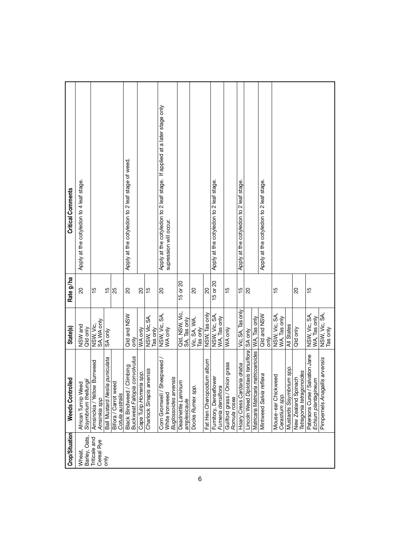| Crop/Situation              | <b>Weeds Controlled</b>                                                     | <b>State(s)</b>                | Rate g/ha       | <b>Critical Comments</b>                                                                           |
|-----------------------------|-----------------------------------------------------------------------------|--------------------------------|-----------------|----------------------------------------------------------------------------------------------------|
| Barley, Oats,<br>Wheat,     | African Turnip Weed<br>Sisymbrium thellungii                                | NSW and<br>Qld only            | $\overline{20}$ | Apply at the cotyledon to 4 leaf stage.                                                            |
| Triticale and<br>Cereal Rye | Amsinckia / Yellow Burrweed<br>Amsinkia spp                                 | NSW, Vic,<br>SA, WA only       | $\frac{5}{1}$   |                                                                                                    |
| òη                          | Ball Mustard Neslia puniculata                                              | SA only                        | $\frac{5}{1}$   |                                                                                                    |
|                             | Bifora / Carrot weed<br>Cotula australis                                    |                                | 25              |                                                                                                    |
|                             | Buckweat Fallopia convolvulus<br>Black Bindweed / Climbing                  | Qid and NSW<br>only            | 20              | Apply at the cotyledon to 2 leaf stage of weed.                                                    |
|                             | Cape Tulip Homeria spp.                                                     | WA only                        | 20              |                                                                                                    |
|                             | Charlock Sinapis arvensis                                                   | NSW, Vic, SA,<br>Tas only      | $\frac{15}{10}$ |                                                                                                    |
|                             | Corn Gromwell / Sheepweed<br><b>Buglossoides arvensis</b><br>White Ironweed | NSW, Vic, SA,<br>WA only       | $\overline{a}$  | Apply at the cotyledon to 2 leaf stage. If applied at a later stage only<br>supression will occur. |
|                             | Deadnettle Laminum<br>amplexicaule                                          | Qld, NSW, Vic,<br>SA, Tas only | 15 or 20        |                                                                                                    |
|                             | Docks Rumex spp.                                                            | Vic, SA, WA,<br>Tas only       | 20              |                                                                                                    |
|                             | Fat Hen Chenopodium album                                                   | NSW, Tas only                  | 20              |                                                                                                    |
|                             | Fumitory, Denseflower<br>Fumeria densiflora                                 | NSW, Vic, SA,<br>WA, Tas only  | 15 or 20        | Apply at the cotyledon to 2 leaf stage.                                                            |
|                             | Guilford grass / Onion grass<br>Romula rosea                                | WA only                        | $\frac{10}{10}$ |                                                                                                    |
|                             | Hoary Cress Cardaria draba                                                  | Vic, SA, Tas only              | $\frac{15}{1}$  | Apply at the cotyledon to 2 leaf stage.                                                            |
|                             | Lincoln Weed Diplotaxis tenufflora SA only                                  |                                | $\overline{20}$ |                                                                                                    |
|                             | Matricaria Matricaria matricoarioides   WA, Tas only                        |                                |                 |                                                                                                    |
|                             | Mintweed Salvia reflexa                                                     | Qld and NSW<br>only            |                 | Apply at the cotyledon to 2 leaf stage.                                                            |
|                             | Mouse-ear Chickweed<br>Cerastium spp.                                       | NSW, Vic, SA,<br>WA, Tas only  | $\frac{5}{1}$   |                                                                                                    |
|                             | Mustards Sisymbrium spp.                                                    | All States                     |                 |                                                                                                    |
|                             | Tetragonia tetragonoides<br>New Zealand Spinach                             | Qild only                      | g               |                                                                                                    |
|                             | Patersons Curse / Salvation Jane<br>Echium plantagineum                     | NSW, Vic, SA,<br>WA, Tas only  | 15              |                                                                                                    |
|                             | Pimpernels Anagallis arvensis                                               | NSW, Vic, SA,<br>Tas only      |                 |                                                                                                    |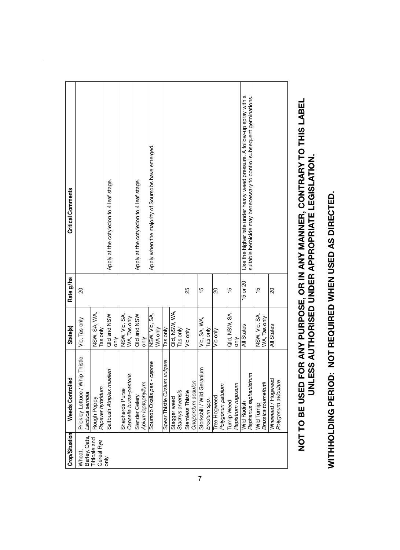| Crop/Situation              | <b>Weeds Controlled</b>                             | <b>State(s)</b>               | Rate g/ha       | <b>Critical Comments</b>                                                |
|-----------------------------|-----------------------------------------------------|-------------------------------|-----------------|-------------------------------------------------------------------------|
| Barley, Oats,<br>Wheat,     | Prickley Lettuce / Whip Thistle<br>Lactuca serriola | Vic, Tas only                 | 20              |                                                                         |
| Triticale and<br>Cereal Rye | Papaver hybridum<br>Rough Poppy                     | NSW, SA, WA,<br>Tas only      |                 |                                                                         |
| ð                           | Saltbush Atriplex muelleri                          | Qld and NSW<br>òρ             |                 | Apply at the cotyledon to 4 leaf stage.                                 |
|                             | Capsella bursa-pastoris<br>Shepherds Purse          | NSW, Vic, SA,<br>WA, Tas only |                 |                                                                         |
|                             | Apium leptophyllum<br>Slender Celery                | Qld and NSW<br>only           |                 | Apply at the cotyledon to 4 leaf stage.                                 |
|                             | Soursob Oxalis pes - caprae                         | NSW, Vic, SA,<br>WA only      |                 | Apply when the majority of Soursobs have emerged.                       |
|                             | Spear Thistle Cirsium vulgare                       | Tas only                      |                 |                                                                         |
|                             | Stagger weed                                        | Qld, NSW, WA,                 |                 |                                                                         |
|                             | Stachys arvensis                                    | Tas only                      |                 |                                                                         |
|                             | Onopordum acaulon<br>Stemless Thistle               | Vic only                      | 25              |                                                                         |
|                             | Storksbill / Wild Geranium                          | Vic, SA, WA,<br>Tas only      | $\frac{5}{1}$   |                                                                         |
|                             | Erodium spp.                                        |                               |                 |                                                                         |
|                             | Polygonun patulum<br>Tree Hogweed                   | Vic only                      | 20              |                                                                         |
|                             | <b>Turnip Weed</b>                                  | Qld, NSW, SA                  | $\frac{10}{10}$ |                                                                         |
|                             | Rapistrum rugosum                                   | only                          |                 |                                                                         |
|                             | Wild Radish                                         | All States                    | 15 or 20        | Use the higher rate under heavy weed pressure. A follow-up spray with a |
|                             | Raphanus raphanistrum                               |                               |                 | suitable herbicide may benecessary to control subsequent germinations.  |
|                             | Brassica tournefortii<br>Wild Turnip                | NSW, Vic, SA,<br>WA, Tas only | ۳b              |                                                                         |
|                             | Wireweed / Hogweed                                  | All States                    | 20              |                                                                         |
|                             | Polygonum aviculare                                 |                               |                 |                                                                         |

# WITHHOLDING PERIOD: NOT REQUIRED WHEN USED AS DIRECTED. **WITHHOLDING PERIOD: NOT REQUIRED WHEN USED AS DIRECTED.**

# NOT TO BE USED FOR ANY PURPOSE, OR IN ANY MANNER, CONTRARY TO THIS LABEL<br>UNLESS AUTHORISED UNDER APPROPRIATE LEGISLATION. **NOT TO BE USED FOR ANY PURPOSE, OR IN ANY MANNER, CONTRARY TO THIS LABEL UNLESS AUTHORISED UNDER APPROPRIATE LEGISLATION.**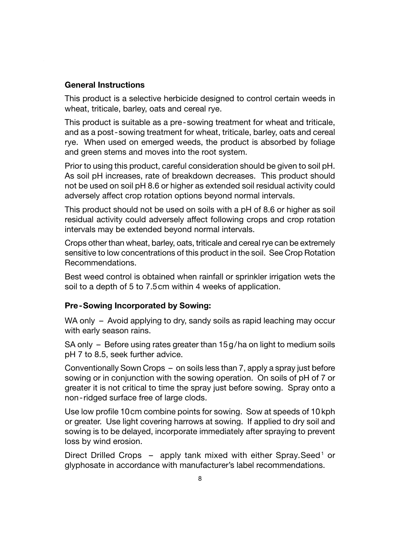#### **General Instructions**

This product is a selective herbicide designed to control certain weeds in wheat, triticale, barley, oats and cereal rye.

This product is suitable as a pre-sowing treatment for wheat and triticale, and as a post-sowing treatment for wheat, triticale, barley, oats and cereal rye. When used on emerged weeds, the product is absorbed by foliage and green stems and moves into the root system.

Prior to using this product, careful consideration should be given to soil pH. As soil pH increases, rate of breakdown decreases. This product should not be used on soil pH 8.6 or higher as extended soil residual activity could adversely affect crop rotation options beyond normal intervals.

This product should not be used on soils with a pH of 8.6 or higher as soil residual activity could adversely affect following crops and crop rotation intervals may be extended beyond normal intervals.

Crops other than wheat, barley, oats, triticale and cereal rye can be extremely sensitive to low concentrations of this product in the soil. See Crop Rotation Recommendations.

Best weed control is obtained when rainfall or sprinkler irrigation wets the soil to a depth of 5 to 7.5cm within 4 weeks of application.

#### **Pre-Sowing Incorporated by Sowing:**

WA only – Avoid applying to dry, sandy soils as rapid leaching may occur with early season rains.

SA only – Before using rates greater than 15g/ha on light to medium soils pH 7 to 8.5, seek further advice.

Conventionally Sown Crops – on soils less than 7, apply a spray just before sowing or in conjunction with the sowing operation. On soils of pH of 7 or greater it is not critical to time the spray just before sowing. Spray onto a non-ridged surface free of large clods.

Use low profile 10cm combine points for sowing. Sow at speeds of 10 kph or greater. Use light covering harrows at sowing. If applied to dry soil and sowing is to be delayed, incorporate immediately after spraying to prevent loss by wind erosion.

Direct Drilled Crops - apply tank mixed with either Spray.Seed<sup>1</sup> or glyphosate in accordance with manufacturer's label recommendations.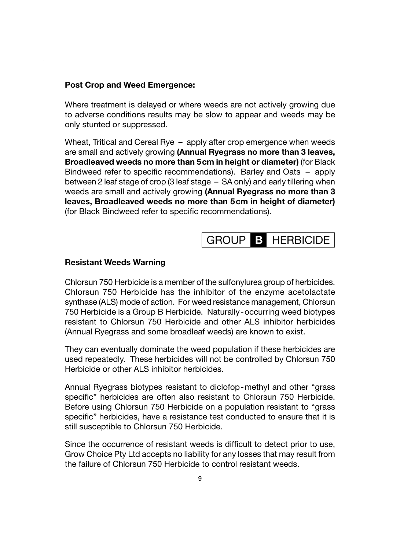#### **Post Crop and Weed Emergence:**

Where treatment is delayed or where weeds are not actively growing due to adverse conditions results may be slow to appear and weeds may be only stunted or suppressed.

Wheat, Tritical and Cereal Rye – apply after crop emergence when weeds are small and actively growing **(Annual Ryegrass no more than 3 leaves, Broadleaved weeds no more than 5cm in height or diameter)** (for Black Bindweed refer to specific recommendations). Barley and Oats - apply between 2 leaf stage of crop (3 leaf stage – SA only) and early tillering when weeds are small and actively growing **(Annual Ryegrass no more than 3 leaves, Broadleaved weeds no more than 5cm in height of diameter)** (for Black Bindweed refer to specific recommendations).

#### GROUP **B** HERBICIDE

#### **Resistant Weeds Warning**

Chlorsun 750 Herbicide is a member of the sulfonylurea group of herbicides. Chlorsun 750 Herbicide has the inhibitor of the enzyme acetolactate synthase (ALS) mode of action. For weed resistance management, Chlorsun 750 Herbicide is a Group B Herbicide. Naturally-occurring weed biotypes resistant to Chlorsun 750 Herbicide and other ALS inhibitor herbicides (Annual Ryegrass and some broadleaf weeds) are known to exist.

They can eventually dominate the weed population if these herbicides are used repeatedly. These herbicides will not be controlled by Chlorsun 750 Herbicide or other ALS inhibitor herbicides.

Annual Ryegrass biotypes resistant to diclofop-methyl and other "grass specific" herbicides are often also resistant to Chlorsun 750 Herbicide. Before using Chlorsun 750 Herbicide on a population resistant to "grass specific" herbicides, have a resistance test conducted to ensure that it is still susceptible to Chlorsun 750 Herbicide.

Since the occurrence of resistant weeds is difficult to detect prior to use, Grow Choice Pty Ltd accepts no liability for any losses that may result from the failure of Chlorsun 750 Herbicide to control resistant weeds.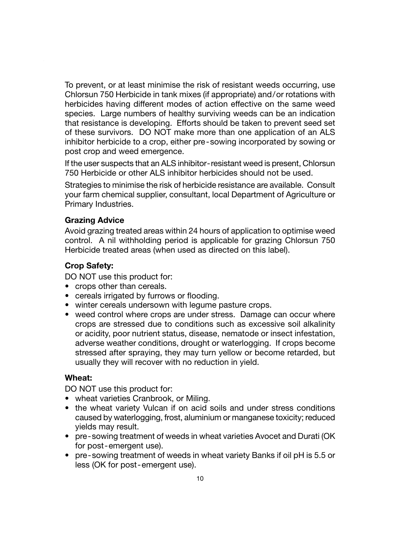To prevent, or at least minimise the risk of resistant weeds occurring, use Chlorsun 750 Herbicide in tank mixes (if appropriate) and/or rotations with herbicides having different modes of action effective on the same weed species. Large numbers of healthy surviving weeds can be an indication that resistance is developing. Efforts should be taken to prevent seed set of these survivors. DO NOT make more than one application of an ALS inhibitor herbicide to a crop, either pre-sowing incorporated by sowing or post crop and weed emergence.

If the user suspects that an ALS inhibitor-resistant weed is present, Chlorsun 750 Herbicide or other ALS inhibitor herbicides should not be used.

Strategies to minimise the risk of herbicide resistance are available. Consult your farm chemical supplier, consultant, local Department of Agriculture or Primary Industries.

#### **Grazing Advice**

Avoid grazing treated areas within 24 hours of application to optimise weed control. A nil withholding period is applicable for grazing Chlorsun 750 Herbicide treated areas (when used as directed on this label).

#### **Crop Safety:**

DO NOT use this product for:

- crops other than cereals.
- cereals irrigated by furrows or flooding.
- winter cereals undersown with legume pasture crops.
- weed control where crops are under stress. Damage can occur where crops are stressed due to conditions such as excessive soil alkalinity or acidity, poor nutrient status, disease, nematode or insect infestation, adverse weather conditions, drought or waterlogging. If crops become stressed after spraying, they may turn yellow or become retarded, but usually they will recover with no reduction in yield.

#### **Wheat:**

DO NOT use this product for:

- wheat varieties Cranbrook, or Miling.
- the wheat variety Vulcan if on acid soils and under stress conditions caused by waterlogging, frost, aluminium or manganese toxicity; reduced yields may result.
- pre-sowing treatment of weeds in wheat varieties Avocet and Durati (OK for post-emergent use).
- pre-sowing treatment of weeds in wheat variety Banks if oil pH is 5.5 or less (OK for post-emergent use).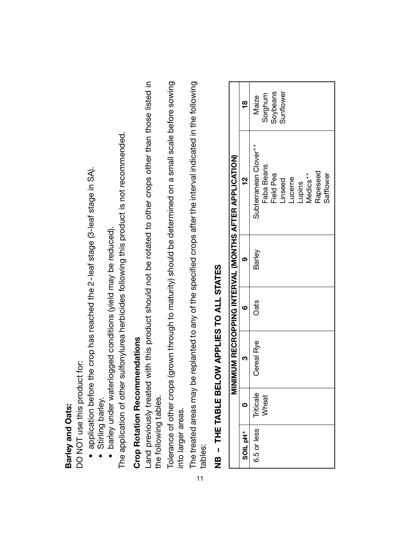### Barley and Oats: **Barley and Oats:**

DO NOT use this product for: DO NOT use this product for:

- application before the crop has reached the 2-leaf stage (3-leaf stage in SA). • application before the crop has reached the 2-leaf stage (3-leaf stage in SA).
	- · Stirling barley. • Stirling barley.
- · barley under waterlogged conditions (yield may be reduced). • barley under waterlogged conditions (yield may be reduced).

The application of other sulfonylurea herbicides following this product is not recommended. The application of other sulfonylurea herbicides following this product is not recommended.

## **Crop Rotation Recommendations Crop Rotation Recommendations**

Land previously treated with this product should not be rotated to other crops other than those listed in Land previously treated with this product should not be rotated to other crops other than those listed in the following tables. the following tables.

Tolerance of other crops (grown through to maturity) should be determined on a small scale before sowing Tolerance of other crops (grown through to maturity) should be determined on a small scale before sowing into larger areas. into larger areas.

The treated areas may be replanted to any of the specified crops after the interval indicated in the following The treated areas may be replanted to any of the specified crops after the interval indicated in the following tables: 11

|                                                        | g               | Sorghum<br>Soybeans<br>Sunflower<br>Maize                                                                                 |
|--------------------------------------------------------|-----------------|---------------------------------------------------------------------------------------------------------------------------|
| MINIMUM RECROPPING INTERVAL (MONTHS AFTER APPLICATION) | <u>بہ</u>       | Subterranean Clover**<br>Faba Beans<br>Rapeseed<br><b>Teld Pea</b><br>Safflower<br>Lupins<br>Medics**<br>ucerne<br>inseed |
|                                                        |                 | Barley                                                                                                                    |
|                                                        |                 | <b>Oats</b>                                                                                                               |
|                                                        |                 | Cereal Rye                                                                                                                |
|                                                        |                 | Triticale<br><b>Mheat</b>                                                                                                 |
|                                                        | <b>SOIL</b> pH* | 6.5 or less                                                                                                               |

# NB - THE TABLE BELOW APPLIES TO ALL STATES **NB – THE TABLE BELOW APPLIES TO ALL STATES**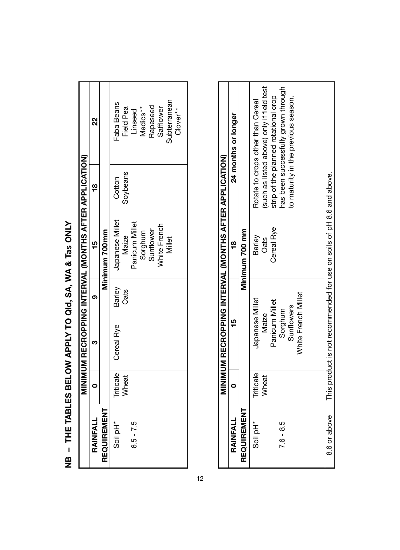NB - THE TABLES BELOW APPLY TO QId, SA, WA & Tas ONLY **NB – THE TABLES BELOW APPLY TO Qld, SA, WA & Tas ONLY**

|             |                  |            |        | MINIMUM RECROPPING INTERVAL (MONTHS AFTER APPLICATION) |          |                     |
|-------------|------------------|------------|--------|--------------------------------------------------------|----------|---------------------|
| RAINFALL    |                  |            |        | s                                                      | g        | g                   |
| REQUIREMENT |                  |            |        | Minimum 700mm                                          |          |                     |
| Soil pH*    | <b>Triticale</b> | Cereal Rye | Barley | Japanese Millet                                        | Cotton   | <b>Faba Beans</b>   |
|             | Wheat            |            | Oats   | Maize                                                  | Soybeans | Field Pea           |
| $6.5 - 7.5$ |                  |            |        | Panicum Millet                                         |          | Linseed             |
|             |                  |            |        | Sorghum                                                |          | Medics**            |
|             |                  |            |        | Sunflower                                              |          | Rapeseed            |
|             |                  |            |        | <b>Vhite French</b>                                    |          | Safflower           |
|             |                  |            |        | Millet                                                 |          | <b>Subterranean</b> |
|             |                  |            |        |                                                        |          | Clover**            |

|                      |                    | MINIMUM RECROPPING INTERVAL (MONTHS AFTER APPLICATION)                                            |                |                                                                                |
|----------------------|--------------------|---------------------------------------------------------------------------------------------------|----------------|--------------------------------------------------------------------------------|
| RAINFALL             |                    | ¥                                                                                                 | ã              | 24 months or longer                                                            |
| REQUIREMENT          |                    |                                                                                                   | Minimum 700 mm |                                                                                |
| Soil pH <sup>*</sup> | Triticale<br>Wheat | Japanese Millet<br>Maize                                                                          | Barley<br>Oats | (such as listed above) only if field test<br>Rotate to crops other than Cereal |
|                      |                    | Panicum Millet                                                                                    | Cereal Rye     | strip of the planned rotational crop                                           |
| $7.6 - 8.5$          |                    | Sorghum                                                                                           |                | has been successfully grown through                                            |
|                      |                    | <b>Sunflowers</b>                                                                                 |                | to maturity in the previous season.                                            |
|                      |                    | White French Millet                                                                               |                |                                                                                |
|                      |                    |                                                                                                   |                |                                                                                |
|                      |                    | 8.6 or above $\blacksquare$ This product is not recommended for use on soils of pH 8.6 and above. |                |                                                                                |

12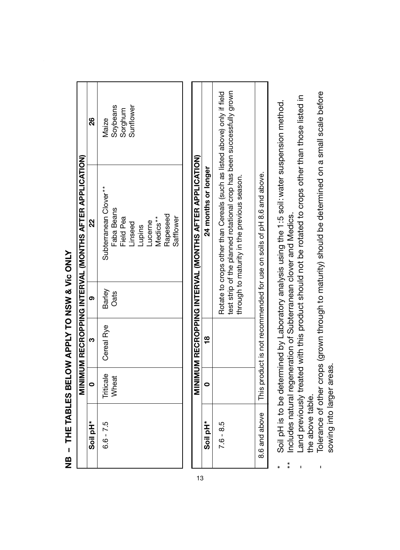| ï           |
|-------------|
|             |
| ֠<br>i      |
|             |
|             |
|             |
| ׇ֚֡֡֡       |
| I<br>í      |
|             |
| l<br>í<br>l |
| l           |
|             |
|             |
|             |
|             |
|             |
| ı           |
|             |
|             |

|                      |                    |            |                | MINIMUM RECROPPING INTERVAL (MONTHS AFTER APPLICATION)                                                                            |                                            |
|----------------------|--------------------|------------|----------------|-----------------------------------------------------------------------------------------------------------------------------------|--------------------------------------------|
| Soil pH <sup>*</sup> |                    |            |                | š                                                                                                                                 | g                                          |
| $6.6 - 7.5$          | Triticale<br>Wheat | Cereal Rye | Barley<br>Oats | Subterranean Clover**<br>Faba Beans<br>Rapeseed<br>Feld Pea<br>Safflower<br>Medics**<br><b>Lucerne</b><br><b>inseed</b><br>Lupins | Soybeans<br>Sorghum<br>Sunflower<br>Vlaize |

|             |  | MINIMUM RECROPPING INTERVAL (MONTHS AFTER APPLICATION)                                                                                                                                          |
|-------------|--|-------------------------------------------------------------------------------------------------------------------------------------------------------------------------------------------------|
| Soil pH*    |  | 24 months or longer                                                                                                                                                                             |
| $7.6 - 8.5$ |  | Rotate to crops other than Cereals (such as listed above) only if field<br>test strip of the planned rotational crop has been successfully grown<br>through to maturity in the previous season. |
|             |  | 8.6 and above $\blacksquare$ This product is not recommended for use on soils of pH 8.6 and above.                                                                                              |

13

- Soil pH is to be determined by Laboratory analysis using the 1:5 soil: water suspension method. \* Soil pH is to be determined by Laboratory analysis using the 1:5 soil:water suspension method. Includes natural regeneration of Subterranean clover and Medics. \*\* Includes natural regeneration of Subterranean clover and Medics.  $\ddot{x}$
- Land previously treated with this product should not be rotated to crops other than those listed in - Land previously treated with this product should not be rotated to crops other than those listed in the above table. the above table.
- Tolerance of other crops (grown through to maturity) should be determined on a small scale before - Tolerance of other crops (grown through to maturity) should be determined on a small scale before sowing into larger areas. sowing into larger areas.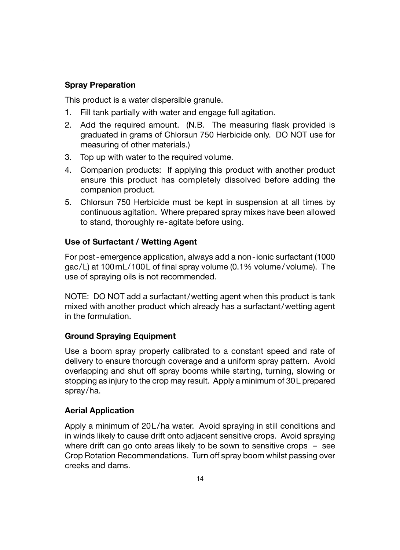#### **Spray Preparation**

This product is a water dispersible granule.

- 1. Fill tank partially with water and engage full agitation.
- 2. Add the required amount. (N.B. The measuring flask provided is graduated in grams of Chlorsun 750 Herbicide only. DO NOT use for measuring of other materials.)
- 3. Top up with water to the required volume.
- 4. Companion products: If applying this product with another product ensure this product has completely dissolved before adding the companion product.
- 5. Chlorsun 750 Herbicide must be kept in suspension at all times by continuous agitation. Where prepared spray mixes have been allowed to stand, thoroughly re-agitate before using.

#### **Use of Surfactant / Wetting Agent**

For post-emergence application, always add a non-ionic surfactant (1000  $\alpha$  ac/L) at 100 mL/100L of final spray volume (0.1% volume/volume). The use of spraying oils is not recommended.

NOTE: DO NOT add a surfactant/wetting agent when this product is tank mixed with another product which already has a surfactant/wetting agent in the formulation.

#### **Ground Spraying Equipment**

Use a boom spray properly calibrated to a constant speed and rate of delivery to ensure thorough coverage and a uniform spray pattern. Avoid overlapping and shut off spray booms while starting, turning, slowing or stopping as injury to the crop may result. Apply a minimum of 30L prepared spray/ha.

#### **Aerial Application**

Apply a minimum of 20L/ha water. Avoid spraying in still conditions and in winds likely to cause drift onto adjacent sensitive crops. Avoid spraying where drift can go onto areas likely to be sown to sensitive crops – see Crop Rotation Recommendations. Turn off spray boom whilst passing over creeks and dams.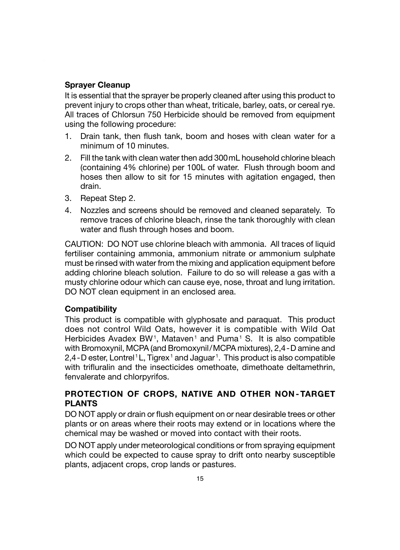#### **Sprayer Cleanup**

It is essential that the sprayer be properly cleaned after using this product to prevent injury to crops other than wheat, triticale, barley, oats, or cereal rye. All traces of Chlorsun 750 Herbicide should be removed from equipment using the following procedure:

- 1. Drain tank, then flush tank, boom and hoses with clean water for a minimum of 10 minutes.
- 2. Fill the tank with clean water then add 300mL household chlorine bleach (containing 4% chlorine) per 100L of water. Flush through boom and hoses then allow to sit for 15 minutes with agitation engaged, then drain.
- 3. Repeat Step 2.
- 4. Nozzles and screens should be removed and cleaned separately. To remove traces of chlorine bleach, rinse the tank thoroughly with clean water and flush through hoses and boom.

CAUTION: DO NOT use chlorine bleach with ammonia. All traces of liquid fertiliser containing ammonia, ammonium nitrate or ammonium sulphate must be rinsed with water from the mixing and application equipment before adding chlorine bleach solution. Failure to do so will release a gas with a musty chlorine odour which can cause eye, nose, throat and lung irritation. DO NOT clean equipment in an enclosed area.

#### **Compatibility**

This product is compatible with glyphosate and paraquat. This product does not control Wild Oats, however it is compatible with Wild Oat Herbicides Avadex BW<sup>1</sup>, Mataven<sup>1</sup> and Puma<sup>1</sup> S. It is also compatible with Bromoxynil, MCPA (and Bromoxynil/MCPA mixtures), 2,4-D amine and 2,4 - D ester, Lontrel<sup>1</sup> L, Tigrex<sup>1</sup> and Jaguar<sup>1</sup>. This product is also compatible with trifluralin and the insecticides omethoate, dimethoate deltamethrin, fenvalerate and chlorpyrifos.

#### **PROTECTION OF CROPS, NATIVE AND OTHER NON - TARGET PLANTS**

DO NOT apply or drain or flush equipment on or near desirable trees or other plants or on areas where their roots may extend or in locations where the chemical may be washed or moved into contact with their roots.

DO NOT apply under meteorological conditions or from spraying equipment which could be expected to cause spray to drift onto nearby susceptible plants, adjacent crops, crop lands or pastures.